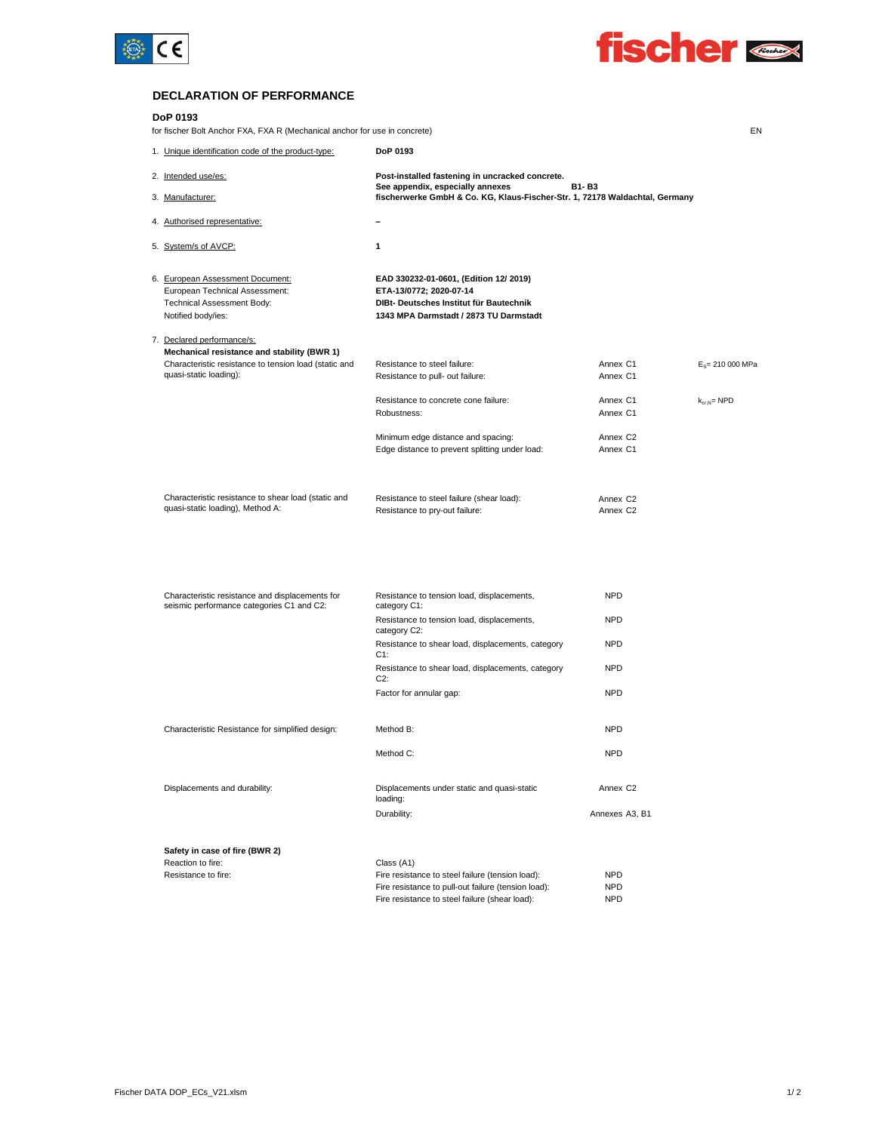



EN

#### **DECLARATION OF PERFORMANCE**

#### **DoP 0193**

for fischer Bolt Anchor FXA, FXA R (Mechanical anchor for use in concrete)

| 1. Unique identification code of the product-type:    | DoP 0193                                                                                                        |                      |                    |
|-------------------------------------------------------|-----------------------------------------------------------------------------------------------------------------|----------------------|--------------------|
| 2. Intended use/es:                                   | Post-installed fastening in uncracked concrete.                                                                 | <b>B1-B3</b>         |                    |
| 3. Manufacturer:                                      | See appendix, especially annexes<br>fischerwerke GmbH & Co. KG, Klaus-Fischer-Str. 1, 72178 Waldachtal, Germany |                      |                    |
| 4. Authorised representative:                         |                                                                                                                 |                      |                    |
| 5. System/s of AVCP:                                  | 1                                                                                                               |                      |                    |
| 6. European Assessment Document:                      | EAD 330232-01-0601, (Edition 12/ 2019)                                                                          |                      |                    |
| European Technical Assessment:                        | ETA-13/0772; 2020-07-14                                                                                         |                      |                    |
| Technical Assessment Body:                            | DIBt- Deutsches Institut für Bautechnik                                                                         |                      |                    |
| Notified body/ies:                                    | 1343 MPA Darmstadt / 2873 TU Darmstadt                                                                          |                      |                    |
| 7. Declared performance/s:                            |                                                                                                                 |                      |                    |
| Mechanical resistance and stability (BWR 1)           |                                                                                                                 |                      |                    |
| Characteristic resistance to tension load (static and | Resistance to steel failure:                                                                                    | Annex C1             | $E_s = 210000 MPa$ |
| quasi-static loading):                                | Resistance to pull- out failure:                                                                                | Annex C1             |                    |
|                                                       | Resistance to concrete cone failure:                                                                            | Annex C1             | $k_{crN}$ NPD      |
|                                                       | Robustness:                                                                                                     | Annex C1             |                    |
|                                                       | Minimum edge distance and spacing:                                                                              | Annex C <sub>2</sub> |                    |
|                                                       | Edge distance to prevent splitting under load:                                                                  | Annex C1             |                    |
|                                                       |                                                                                                                 |                      |                    |
| Characteristic resistance to shear load (static and   | Resistance to steel failure (shear load):                                                                       | Annex C <sub>2</sub> |                    |
| quasi-static loading), Method A:                      | Resistance to pry-out failure:                                                                                  | Annex C <sub>2</sub> |                    |
|                                                       |                                                                                                                 |                      |                    |
|                                                       |                                                                                                                 |                      |                    |
|                                                       |                                                                                                                 |                      |                    |
|                                                       |                                                                                                                 |                      |                    |

| Characteristic resistance and displacements for<br>seismic performance categories C1 and C2: | Resistance to tension load, displacements,<br>category C1:  | <b>NPD</b>           |  |
|----------------------------------------------------------------------------------------------|-------------------------------------------------------------|----------------------|--|
|                                                                                              | Resistance to tension load, displacements,<br>category C2:  | <b>NPD</b>           |  |
|                                                                                              | Resistance to shear load, displacements, category<br>C1:    | <b>NPD</b>           |  |
|                                                                                              | Resistance to shear load, displacements, category<br>$C2$ : | <b>NPD</b>           |  |
|                                                                                              | Factor for annular gap:                                     | <b>NPD</b>           |  |
| Characteristic Resistance for simplified design:                                             | Method B:                                                   | <b>NPD</b>           |  |
|                                                                                              | Method C:                                                   | <b>NPD</b>           |  |
| Displacements and durability:                                                                | Displacements under static and quasi-static<br>loading:     | Annex C <sub>2</sub> |  |
|                                                                                              | Durability:                                                 | Annexes A3, B1       |  |
| Safety in case of fire (BWR 2)                                                               |                                                             |                      |  |
| Reaction to fire:                                                                            | Class (A1)                                                  |                      |  |
| Resistance to fire:                                                                          | Fire resistance to steel failure (tension load):            | <b>NPD</b>           |  |
|                                                                                              | Fire resistance to pull-out failure (tension load):         | <b>NPD</b>           |  |
|                                                                                              | Fire resistance to steel failure (shear load):              | <b>NPD</b>           |  |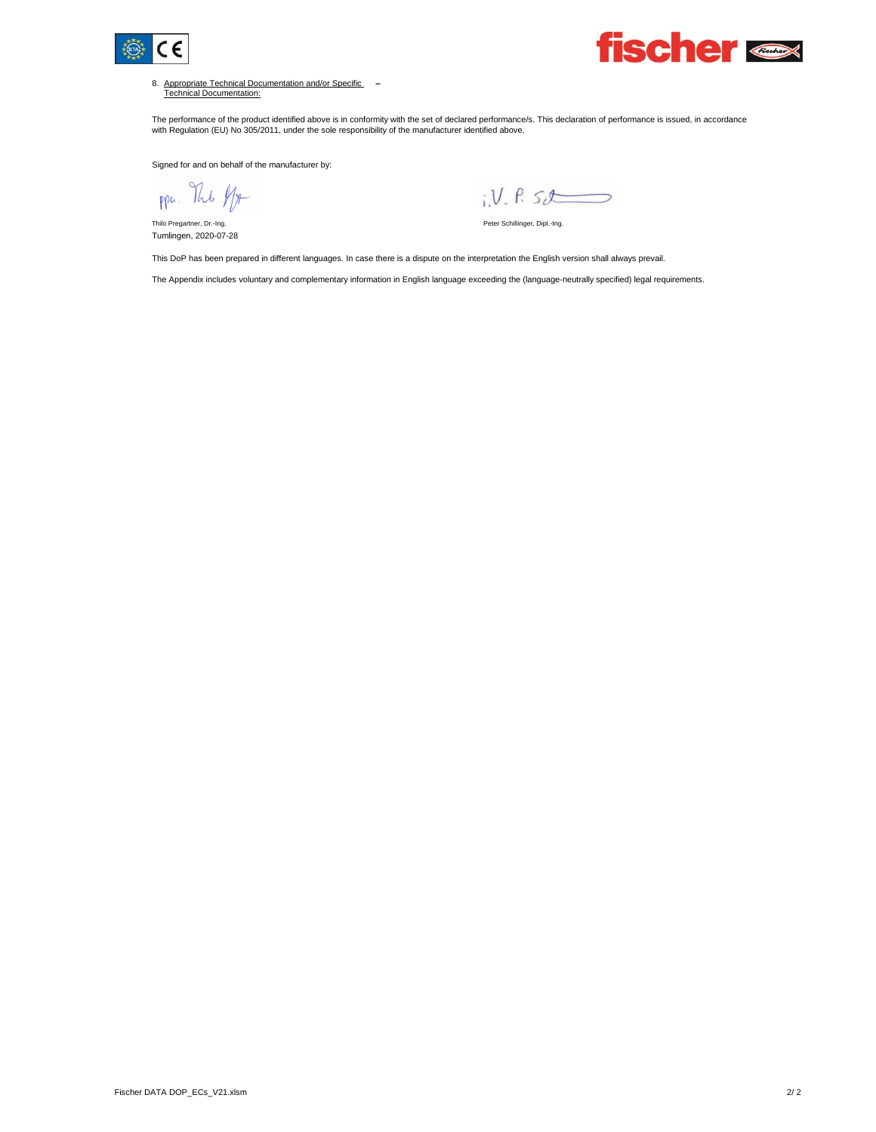



8. Appropriate Technical Documentation and/or Specific Technical Documentation: **–**

The performance of the product identified above is in conformity with the set of declared performance/s. This declaration of performance is issued, in accordance<br>with Regulation (EU) No 305/2011, under the sole responsibil

Signed for and on behalf of the manufacturer by:

ppa. The ff

Tumlingen, 2020-07-28

 $i.V. R52$ 

Thilo Pregartner, Dr.-Ing. No. 2008. Thilo Pregartner, Dr.-Ing. Peter Schillinger, Dipl.-Ing.

This DoP has been prepared in different languages. In case there is a dispute on the interpretation the English version shall always prevail.

The Appendix includes voluntary and complementary information in English language exceeding the (language-neutrally specified) legal requirements.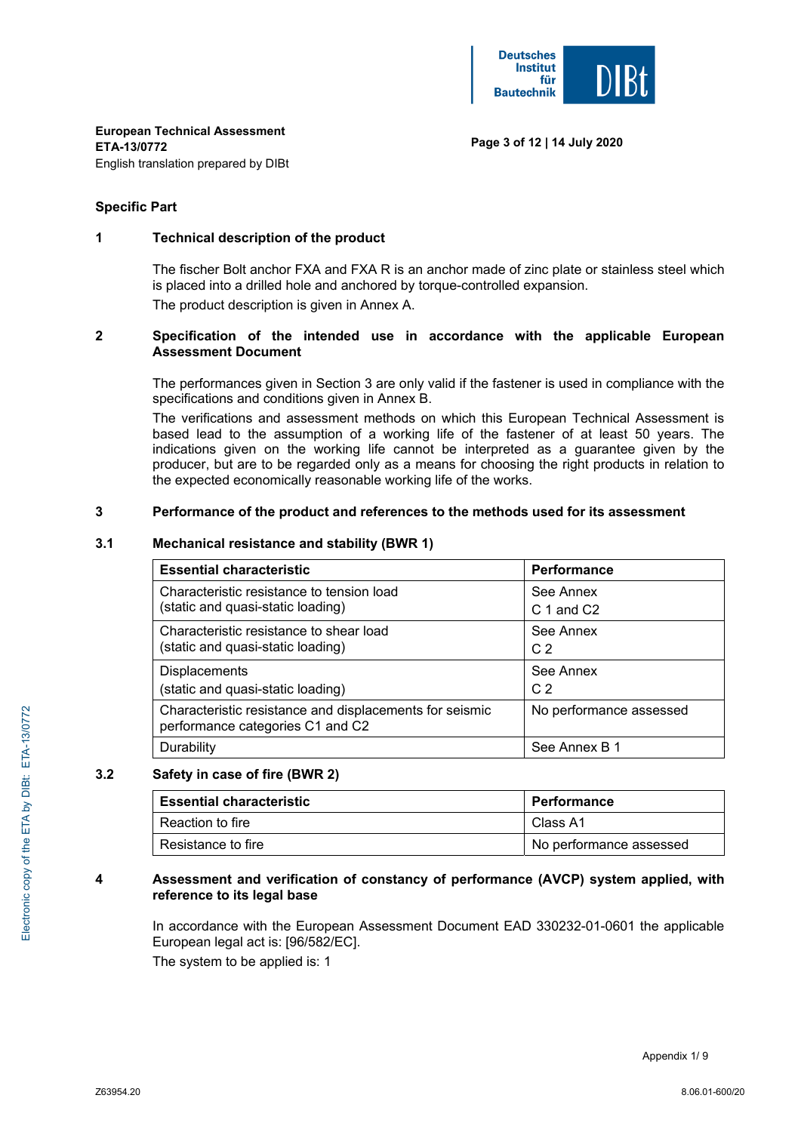#### **Specific Part**

## **1 Technical description of the product**

 The fischer Bolt anchor FXA and FXA R is an anchor made of zinc plate or stainless steel which is placed into a drilled hole and anchored by torque-controlled expansion.

The product description is given in Annex A.

#### **2 Specification of the intended use in accordance with the applicable European Assessment Document**

The performances given in Section 3 are only valid if the fastener is used in compliance with the specifications and conditions given in Annex B.

The verifications and assessment methods on which this European Technical Assessment is based lead to the assumption of a working life of the fastener of at least 50 years. The indications given on the working life cannot be interpreted as a guarantee given by the producer, but are to be regarded only as a means for choosing the right products in relation to the expected economically reasonable working life of the works.

#### **3 Performance of the product and references to the methods used for its assessment**

#### **3.1 Mechanical resistance and stability (BWR 1)**

| <b>Essential characteristic</b>                                                             | Performance             |
|---------------------------------------------------------------------------------------------|-------------------------|
| Characteristic resistance to tension load                                                   | See Annex               |
| (static and quasi-static loading)                                                           | C 1 and C2              |
| Characteristic resistance to shear load                                                     | See Annex               |
| (static and quasi-static loading)                                                           | C <sub>2</sub>          |
| <b>Displacements</b>                                                                        | See Annex               |
| (static and quasi-static loading)                                                           | C <sub>2</sub>          |
| Characteristic resistance and displacements for seismic<br>performance categories C1 and C2 | No performance assessed |
| Durability                                                                                  | See Annex B 1           |

#### **3.2 Safety in case of fire (BWR 2)**

| <b>Essential characteristic</b> | Performance             |  |  |
|---------------------------------|-------------------------|--|--|
| Reaction to fire                | Class A1                |  |  |
| Resistance to fire              | No performance assessed |  |  |

#### **4 Assessment and verification of constancy of performance (AVCP) system applied, with reference to its legal base**

 In accordance with the European Assessment Document EAD 330232-01-0601 the applicable European legal act is: [96/582/EC].

The system to be applied is: 1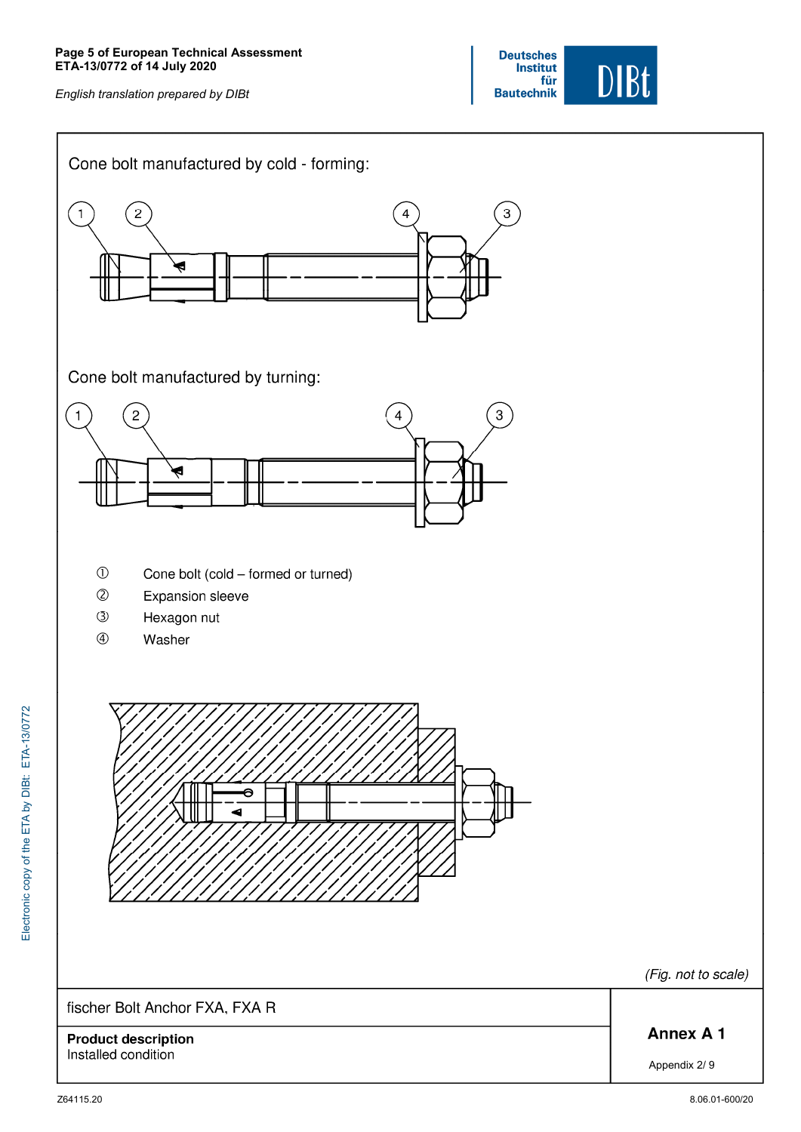

(Fig. not to scale)

**Annex A1** 

Appendix 2/ 9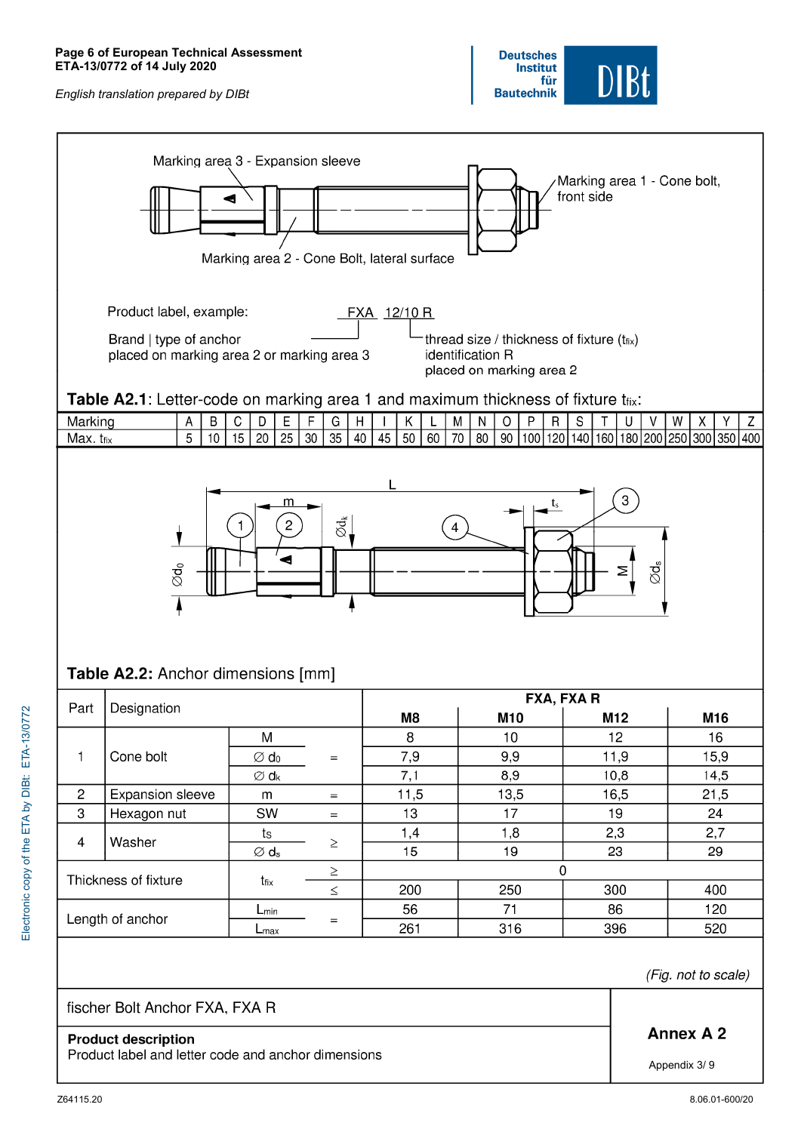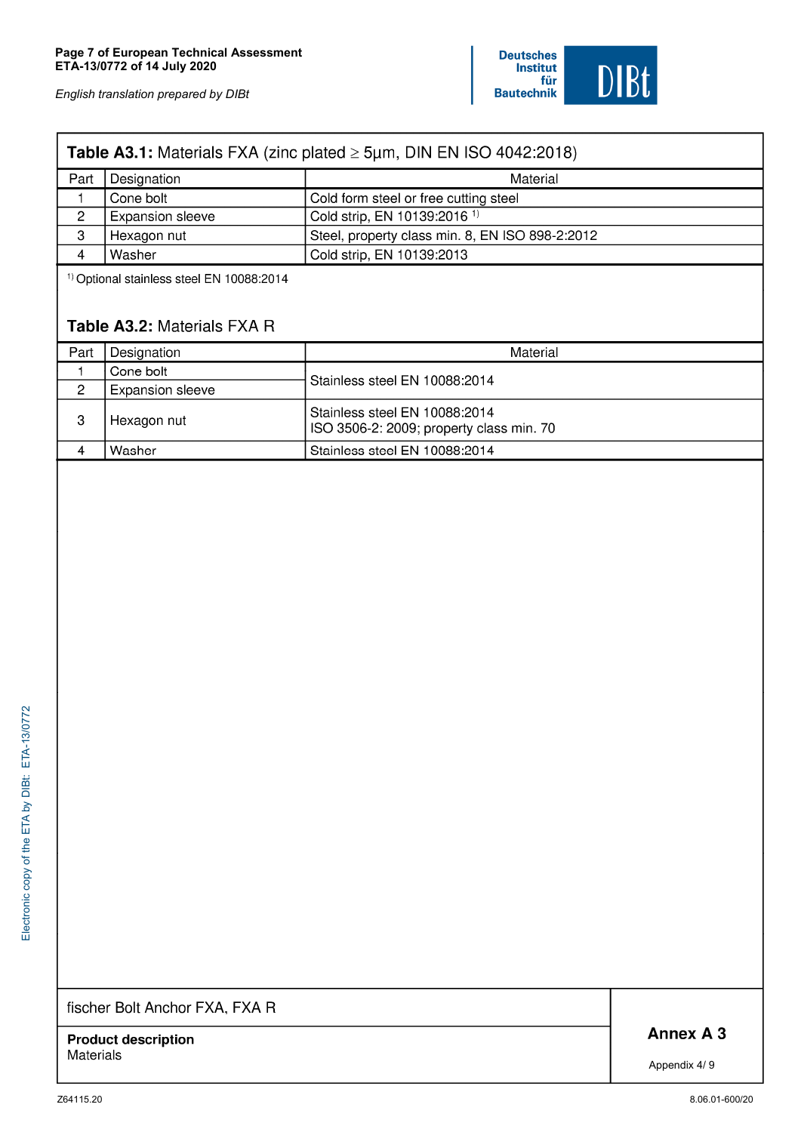#### Table A3.1: Materials FXA (zinc plated  $\geq$  5µm, DIN EN ISO 4042:2018) Part Designation Material Cone bolt Cold form steel or free cutting steel  $\mathbf{1}$ Cold strip, EN 10139:2016<sup>1)</sup>  $\overline{c}$ Expansion sleeve 3 Hexagon nut Steel, property class min. 8, EN ISO 898-2:2012 Cold strip, EN 10139:2013  $\overline{4}$ Washer

<sup>1)</sup> Optional stainless steel EN 10088:2014

## Table A3.2: Materials FXA R

| Part | Designation      | Material                                                                  |
|------|------------------|---------------------------------------------------------------------------|
|      | Cone bolt        | Stainless steel EN 10088:2014                                             |
| 2    | Expansion sleeve |                                                                           |
| 3    | Hexagon nut      | Stainless steel EN 10088:2014<br>ISO 3506-2: 2009; property class min. 70 |
|      | Washer           | Stainless steel EN 10088:2014                                             |

fischer Bolt Anchor FXA, FXA R

**Product description Materials** 

Annex A 3

Appendix 4/9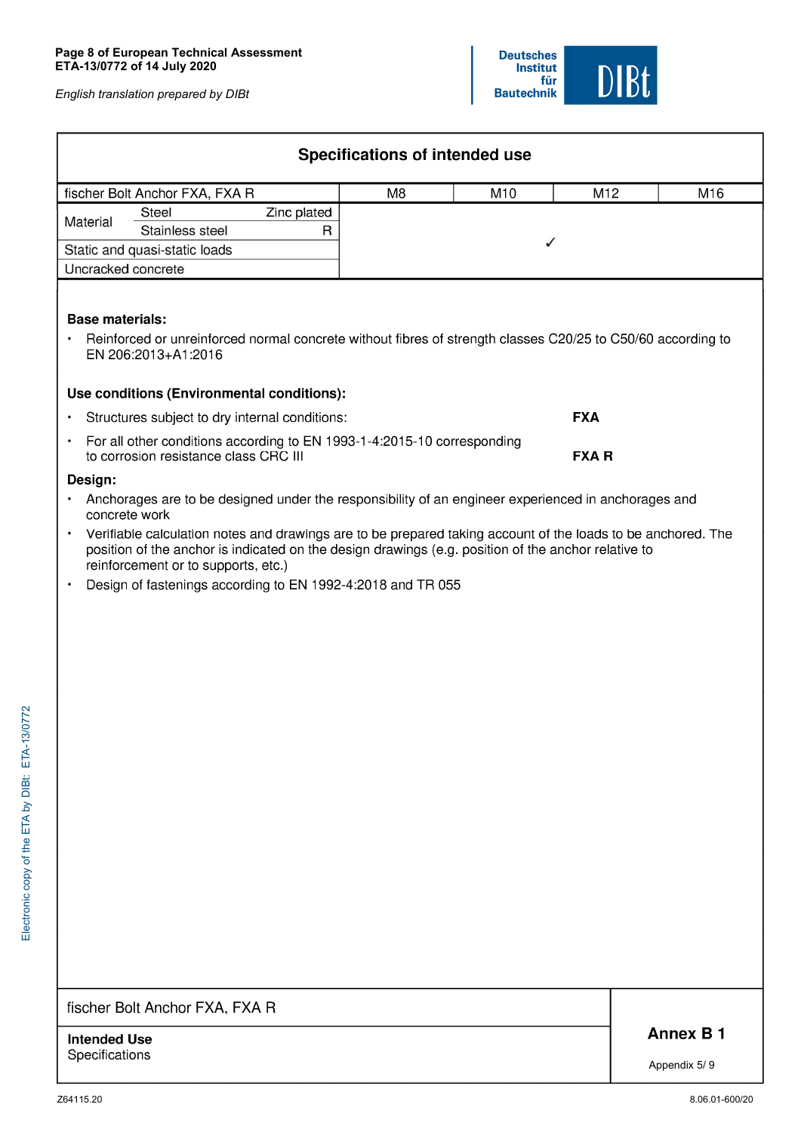| Specifications of intended use                                                                                                                               |                                                              |             |  |  |  |  |  |  |  |
|--------------------------------------------------------------------------------------------------------------------------------------------------------------|--------------------------------------------------------------|-------------|--|--|--|--|--|--|--|
| fischer Bolt Anchor FXA, FXA R<br>M8<br>M10<br>M12<br>M16                                                                                                    |                                                              |             |  |  |  |  |  |  |  |
| Material                                                                                                                                                     | Steel                                                        | Zinc plated |  |  |  |  |  |  |  |
|                                                                                                                                                              | Stainless steel                                              | R           |  |  |  |  |  |  |  |
|                                                                                                                                                              | Static and quasi-static loads                                |             |  |  |  |  |  |  |  |
|                                                                                                                                                              | Uncracked concrete                                           |             |  |  |  |  |  |  |  |
| <b>Base materials:</b><br>Reinforced or unreinforced normal concrete without fibres of strength classes C20/25 to C50/60 according to<br>EN 206:2013+A1:2016 |                                                              |             |  |  |  |  |  |  |  |
|                                                                                                                                                              | Use conditions (Environmental conditions):                   |             |  |  |  |  |  |  |  |
|                                                                                                                                                              | <b>FXA</b><br>Structures subject to dry internal conditions: |             |  |  |  |  |  |  |  |

| For all other conditions according to EN 1993-1-4:2015-10 corresponding |              |
|-------------------------------------------------------------------------|--------------|
| to corrosion resistance class CRC III                                   | <b>FXA R</b> |

#### Design:

- . Anchorages are to be designed under the responsibility of an engineer experienced in anchorages and concrete work
- $\bullet$ Verifiable calculation notes and drawings are to be prepared taking account of the loads to be anchored. The position of the anchor is indicated on the design drawings (e.g. position of the anchor relative to reinforcement or to supports, etc.)
- Design of fastenings according to EN 1992-4:2018 and TR 055  $\ddot{\phantom{0}}$

## fischer Bolt Anchor FXA, FXA R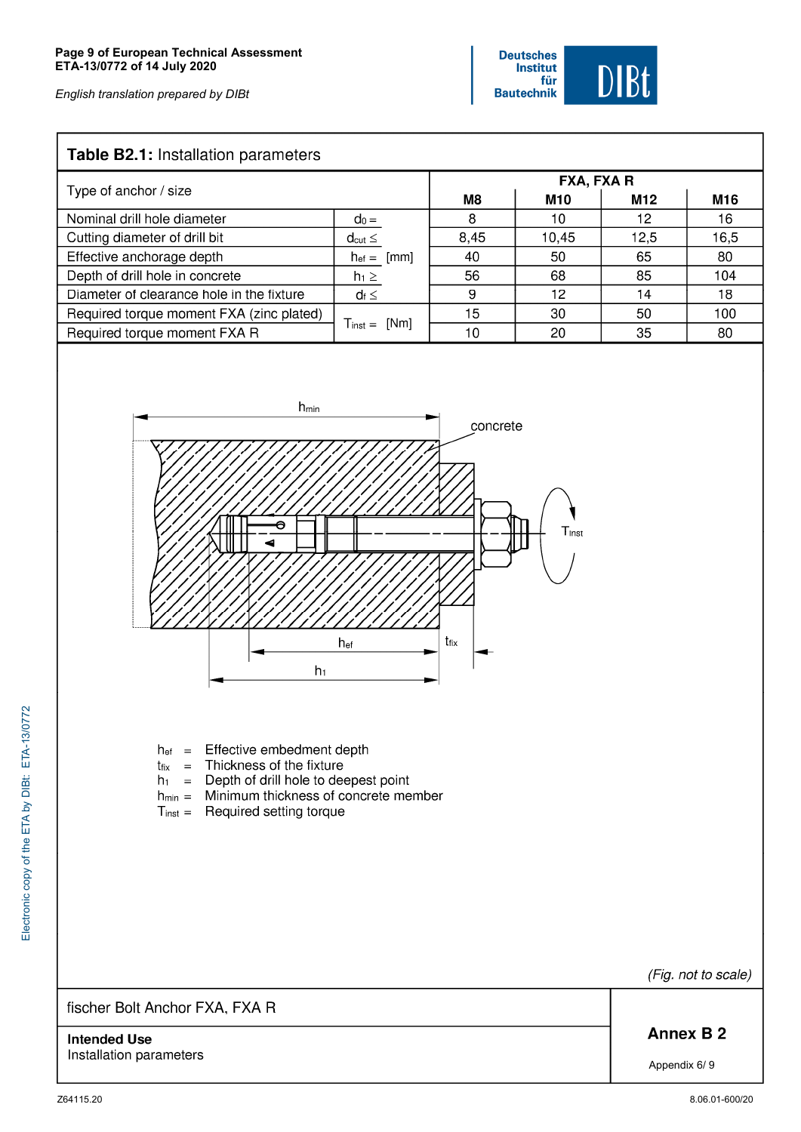## Table B2.1: Installation parameters

| <b>TUDIC DETT:</b> INSTANTION PARTISTS.   |                           |            |            |      |      |  |  |  |
|-------------------------------------------|---------------------------|------------|------------|------|------|--|--|--|
|                                           |                           | FXA, FXA R |            |      |      |  |  |  |
| Type of anchor / size                     |                           | M8         | <b>M10</b> | M12  | M16  |  |  |  |
| Nominal drill hole diameter               | $d_0 =$                   | 8          | 10         | 12   | 16   |  |  |  |
| Cutting diameter of drill bit             | $d_{cut} \leq$            | 8,45       | 10,45      | 12,5 | 16,5 |  |  |  |
| Effective anchorage depth                 | [mm]<br>$h_{\text{ef}} =$ | 40         | 50         | 65   | 80   |  |  |  |
| Depth of drill hole in concrete           | $h_1 \geq$                | 56         | 68         | 85   | 104  |  |  |  |
| Diameter of clearance hole in the fixture | $d_f \leq$                | 9          | 12         | 14   | 18   |  |  |  |
| Required torque moment FXA (zinc plated)  |                           | 15         | 30         | 50   | 100  |  |  |  |
| Required torque moment FXA R              | $T_{inst} = [Nm]$         | 10         | 20         | 35   | -80  |  |  |  |



- h<sub>ef</sub> = Effective embedment depth
- $t_{fix}$  = Thickness of the fixture
- $h_1$  = Depth of drill hole to deepest point
- $h_{min}$  = Minimum thickness of concrete member
- $T_{inst} =$  Required setting torque

fischer Bolt Anchor FXA, FXA R

**Intended Use** Installation parameters (Fig. not to scale)

**Annex B2** 

Appendix 6/9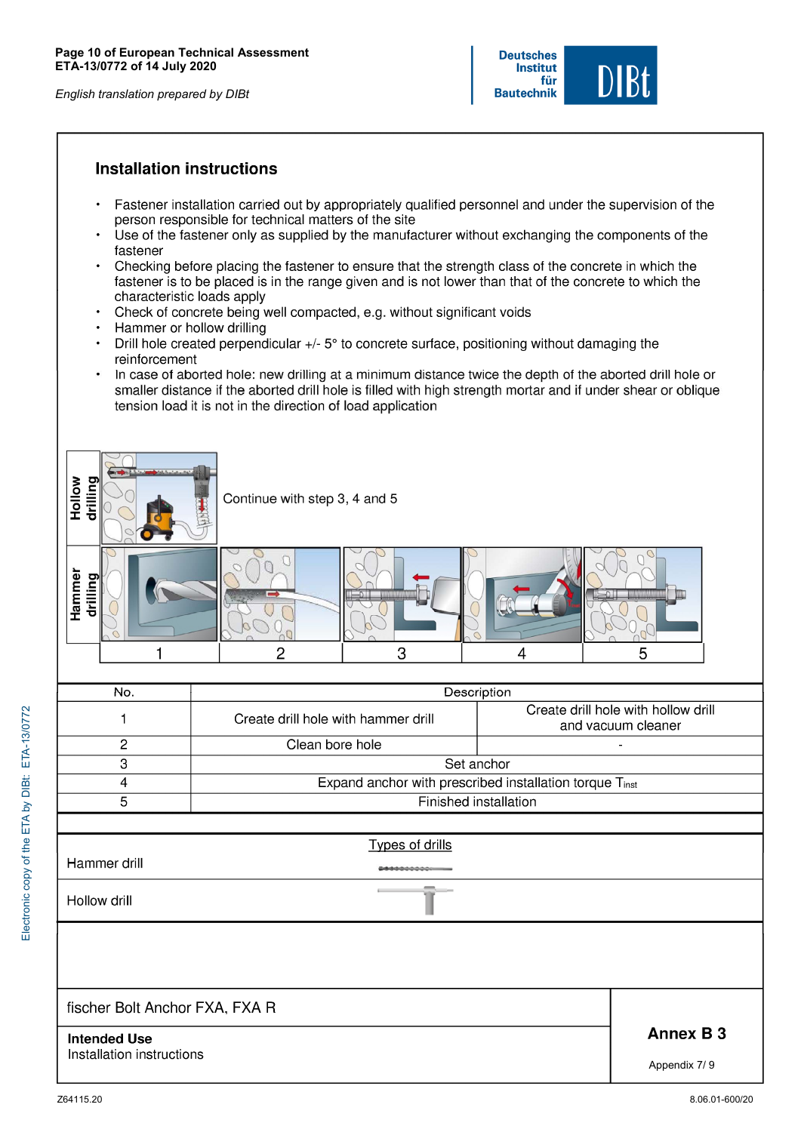## **Installation instructions**

- Fastener installation carried out by appropriately qualified personnel and under the supervision of the  $\bullet$ person responsible for technical matters of the site
- Use of the fastener only as supplied by the manufacturer without exchanging the components of the fastener
- Checking before placing the fastener to ensure that the strength class of the concrete in which the fastener is to be placed is in the range given and is not lower than that of the concrete to which the characteristic loads apply
- Check of concrete being well compacted, e.g. without significant voids
- $\bullet$ Hammer or hollow drilling
- Drill hole created perpendicular +/- 5° to concrete surface, positioning without damaging the  $\bullet$ reinforcement
- In case of aborted hole: new drilling at a minimum distance twice the depth of the aborted drill hole or  $\bullet$ smaller distance if the aborted drill hole is filled with high strength mortar and if under shear or oblique tension load it is not in the direction of load application

| Hollow<br>drilling             | Continue with step 3, 4 and 5                           |                                                           |                  |  |  |  |  |
|--------------------------------|---------------------------------------------------------|-----------------------------------------------------------|------------------|--|--|--|--|
| Hammer<br>drilling             |                                                         |                                                           | C                |  |  |  |  |
| 1                              | $\overline{2}$<br>3                                     | 4                                                         | 5                |  |  |  |  |
| No.                            |                                                         | Description                                               |                  |  |  |  |  |
| 1                              | Create drill hole with hammer drill                     | Create drill hole with hollow drill<br>and vacuum cleaner |                  |  |  |  |  |
| $\overline{2}$                 | Clean bore hole                                         |                                                           |                  |  |  |  |  |
|                                | $\overline{3}$<br>Set anchor                            |                                                           |                  |  |  |  |  |
| $\overline{4}$                 | Expand anchor with prescribed installation torque Tinst |                                                           |                  |  |  |  |  |
| $\overline{5}$                 |                                                         | Finished installation                                     |                  |  |  |  |  |
|                                |                                                         |                                                           |                  |  |  |  |  |
| Hammer drill                   | <b>Types of drills</b>                                  |                                                           |                  |  |  |  |  |
|                                | 56600000000                                             |                                                           |                  |  |  |  |  |
| Hollow drill                   |                                                         |                                                           |                  |  |  |  |  |
|                                |                                                         |                                                           |                  |  |  |  |  |
|                                |                                                         |                                                           |                  |  |  |  |  |
| fischer Bolt Anchor FXA, FXA R |                                                         |                                                           |                  |  |  |  |  |
| <b>Intended Use</b>            |                                                         |                                                           | <b>Annex B 3</b> |  |  |  |  |
| Installation instructions      | Appendix 7/9                                            |                                                           |                  |  |  |  |  |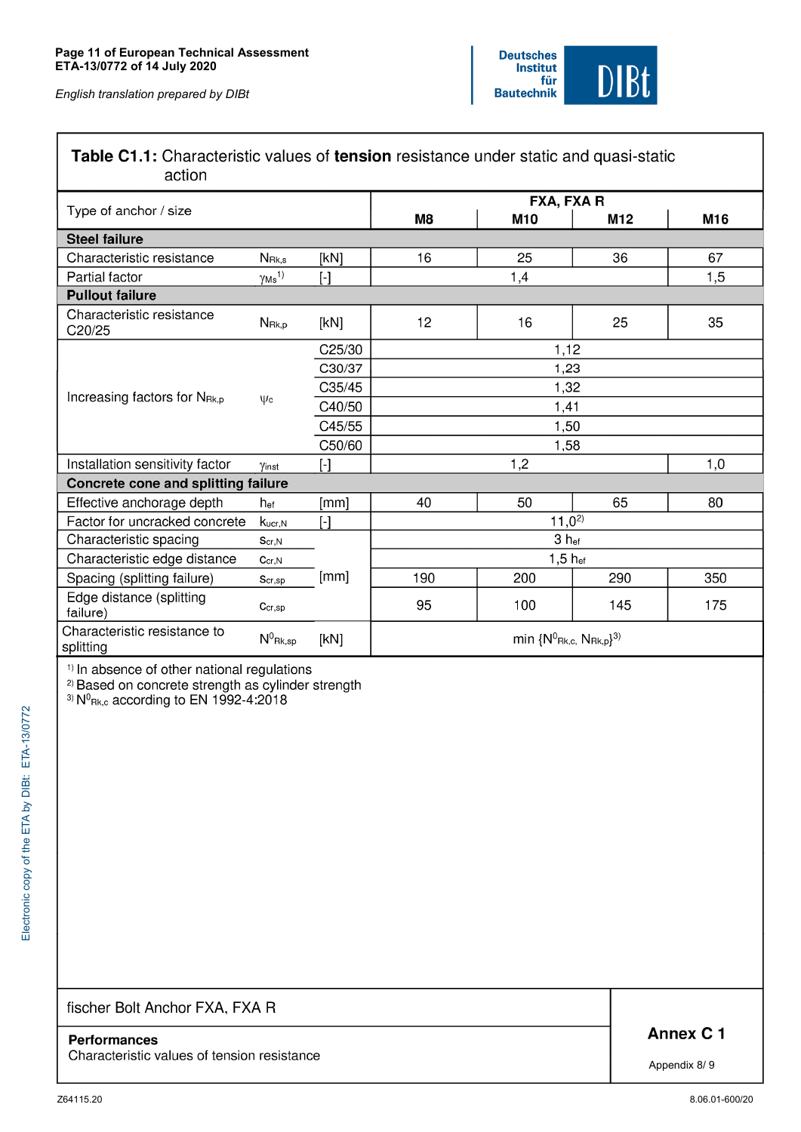## Table C1.1: Characteristic values of tension resistance under static and quasi-static action

| Type of anchor / size                     |                           |                                                                                                                                                                                                                                                                                               |                                                          | FXA, FXA R       |     |     |  |  |
|-------------------------------------------|---------------------------|-----------------------------------------------------------------------------------------------------------------------------------------------------------------------------------------------------------------------------------------------------------------------------------------------|----------------------------------------------------------|------------------|-----|-----|--|--|
|                                           |                           |                                                                                                                                                                                                                                                                                               | M8                                                       | M10              | M12 | M16 |  |  |
| <b>Steel failure</b>                      |                           |                                                                                                                                                                                                                                                                                               |                                                          |                  |     |     |  |  |
| Characteristic resistance                 | $N_{\rm Rk,s}$            | [kN]                                                                                                                                                                                                                                                                                          | 16                                                       | 25               | 36  | 67  |  |  |
| Partial factor                            | $\gamma$ Ms <sup>1)</sup> | $[\cdot] % \centering \includegraphics[width=0.9\columnwidth]{figures/fig_10.pdf} \caption{The graph $\mathcal{N}_1$ is a function of the number of~\textit{N}_1$ (left) and the number of~\textit{N}_2$ (right) and the number of~\textit{N}_1$ (right) are shown in Fig.~\ref{fig:10}. } %$ |                                                          | 1,4              |     | 1,5 |  |  |
| <b>Pullout failure</b>                    |                           |                                                                                                                                                                                                                                                                                               |                                                          |                  |     |     |  |  |
| Characteristic resistance<br>C20/25       | $N_{\rm Rk,p}$            | [kN]                                                                                                                                                                                                                                                                                          | 12                                                       | 16               | 25  | 35  |  |  |
|                                           |                           | C25/30                                                                                                                                                                                                                                                                                        |                                                          | 1,12             |     |     |  |  |
|                                           |                           | C30/37                                                                                                                                                                                                                                                                                        |                                                          | 1,23             |     |     |  |  |
|                                           |                           | C35/45                                                                                                                                                                                                                                                                                        | 1,32                                                     |                  |     |     |  |  |
| Increasing factors for N <sub>Rk,p</sub>  | $\psi$ c                  | C40/50                                                                                                                                                                                                                                                                                        | 1,41                                                     |                  |     |     |  |  |
|                                           |                           | C45/55                                                                                                                                                                                                                                                                                        | 1,50                                                     |                  |     |     |  |  |
|                                           |                           | C50/60                                                                                                                                                                                                                                                                                        | 1,58                                                     |                  |     |     |  |  |
| Installation sensitivity factor           | Yinst                     | $[\cdot]$                                                                                                                                                                                                                                                                                     |                                                          | 1,2              |     | 1,0 |  |  |
| Concrete cone and splitting failure       |                           |                                                                                                                                                                                                                                                                                               |                                                          |                  |     |     |  |  |
| Effective anchorage depth                 | h <sub>ef</sub>           | [mm]                                                                                                                                                                                                                                                                                          | 40                                                       | 50               | 65  | 80  |  |  |
| Factor for uncracked concrete             | Kucr, N                   | $\lbrack - \rbrack$                                                                                                                                                                                                                                                                           |                                                          | $11,0^{2}$       |     |     |  |  |
| Characteristic spacing                    | $S_{cr,N}$                |                                                                                                                                                                                                                                                                                               |                                                          | 3 <sub>hef</sub> |     |     |  |  |
| Characteristic edge distance<br>Ccr, N    |                           |                                                                                                                                                                                                                                                                                               |                                                          | $1,5$ hef        |     |     |  |  |
| Spacing (splitting failure)               | $S_{cr,sp}$               | [mm]                                                                                                                                                                                                                                                                                          | 190                                                      | 200              | 290 | 350 |  |  |
| Edge distance (splitting<br>failure)      | $C_{cr,sp}$               |                                                                                                                                                                                                                                                                                               | 95                                                       | 100              | 145 | 175 |  |  |
| Characteristic resistance to<br>splitting | $N^0$ Rk,sp               | [kN]                                                                                                                                                                                                                                                                                          | min $\{N^0$ <sub>Rk,c,</sub> N <sub>Rk,p</sub> $\}^{3)}$ |                  |     |     |  |  |

<sup>1)</sup> In absence of other national regulations<br><sup>2)</sup> Based on concrete strength as cylinder strength<br><sup>3)</sup>  $N^0$ <sub>Rk,c</sub> according to EN 1992-4:2018

## fischer Bolt Anchor FXA, FXA R

Characteristic values of tension resistance

Annex C 1